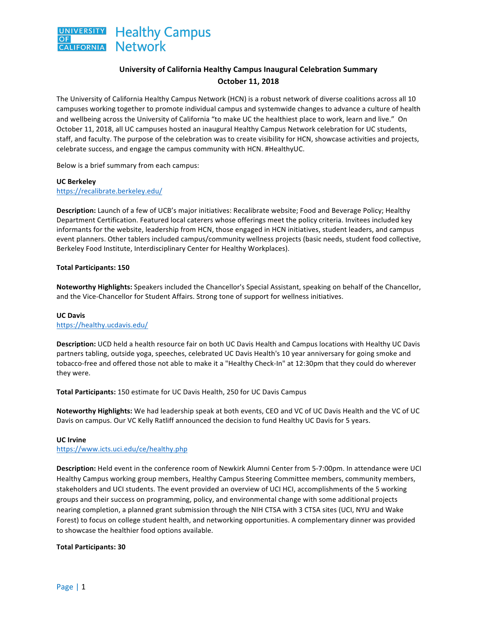

## **University of California Healthy Campus Inaugural Celebration Summary October 11, 2018**

The University of California Healthy Campus Network (HCN) is a robust network of diverse coalitions across all 10 campuses working together to promote individual campus and systemwide changes to advance a culture of health and wellbeing across the University of California "to make UC the healthiest place to work, learn and live." On October 11, 2018, all UC campuses hosted an inaugural Healthy Campus Network celebration for UC students, staff, and faculty. The purpose of the celebration was to create visibility for HCN, showcase activities and projects, celebrate success, and engage the campus community with HCN. #HealthyUC.

Below is a brief summary from each campus:

### **UC Berkeley** https://recalibrate.berkeley.edu/

**Description:** Launch of a few of UCB's major initiatives: Recalibrate website; Food and Beverage Policy; Healthy Department Certification. Featured local caterers whose offerings meet the policy criteria. Invitees included key informants for the website, leadership from HCN, those engaged in HCN initiatives, student leaders, and campus event planners. Other tablers included campus/community wellness projects (basic needs, student food collective, Berkeley Food Institute, Interdisciplinary Center for Healthy Workplaces).

### **Total Participants: 150**

**Noteworthy Highlights:** Speakers included the Chancellor's Special Assistant, speaking on behalf of the Chancellor, and the Vice-Chancellor for Student Affairs. Strong tone of support for wellness initiatives.

## **UC Davis**

### https://healthy.ucdavis.edu/

Description: UCD held a health resource fair on both UC Davis Health and Campus locations with Healthy UC Davis partners tabling, outside yoga, speeches, celebrated UC Davis Health's 10 year anniversary for going smoke and tobacco-free and offered those not able to make it a "Healthy Check-In" at 12:30pm that they could do wherever they were.

Total Participants: 150 estimate for UC Davis Health, 250 for UC Davis Campus

**Noteworthy Highlights:** We had leadership speak at both events, CEO and VC of UC Davis Health and the VC of UC Davis on campus. Our VC Kelly Ratliff announced the decision to fund Healthy UC Davis for 5 years.

### **UC Irvine**

https://www.icts.uci.edu/ce/healthy.php

**Description:** Held event in the conference room of Newkirk Alumni Center from 5-7:00pm. In attendance were UCI Healthy Campus working group members, Healthy Campus Steering Committee members, community members, stakeholders and UCI students. The event provided an overview of UCI HCI, accomplishments of the 5 working groups and their success on programming, policy, and environmental change with some additional projects nearing completion, a planned grant submission through the NIH CTSA with 3 CTSA sites (UCI, NYU and Wake Forest) to focus on college student health, and networking opportunities. A complementary dinner was provided to showcase the healthier food options available.

### **Total Participants: 30**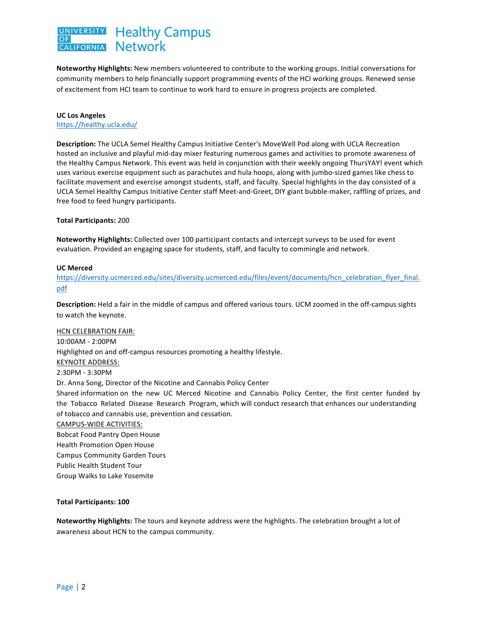#### **Healthy Campus UNIVERSITY Network CALIFORNIA**

Noteworthy Highlights: New members volunteered to contribute to the working groups. Initial conversations for community members to help financially support programming events of the HCI working groups. Renewed sense of excitement from HCI team to continue to work hard to ensure in progress projects are completed.

# **UC Los Angeles**

https://healthy.ucla.edu/

Description: The UCLA Semel Healthy Campus Initiative Center's MoveWell Pod along with UCLA Recreation hosted an inclusive and playful mid-day mixer featuring numerous games and activities to promote awareness of the Healthy Campus Network. This event was held in conjunction with their weekly ongoing ThursYAY! event which uses various exercise equipment such as parachutes and hula hoops, along with jumbo-sized games like chess to facilitate movement and exercise amongst students, staff, and faculty. Special highlights in the day consisted of a UCLA Semel Healthy Campus Initiative Center staff Meet-and-Greet, DIY giant bubble-maker, raffling of prizes, and free food to feed hungry participants.

### **Total Participants:** 200

**Noteworthy Highlights:** Collected over 100 participant contacts and intercept surveys to be used for event evaluation. Provided an engaging space for students, staff, and faculty to commingle and network.

### **UC Merced**

https://diversity.ucmerced.edu/sites/diversity.ucmerced.edu/files/event/documents/hcn\_celebration\_flyer\_final. pdf

**Description:** Held a fair in the middle of campus and offered various tours. UCM zoomed in the off-campus sights to watch the keynote.

### **HCN CELEBRATION FAIR:**

10:00AM - 2:00PM Highlighted on and off-campus resources promoting a healthy lifestyle. KEYNOTE ADDRESS: 2:30PM - 3:30PM Dr. Anna Song, Director of the Nicotine and Cannabis Policy Center Shared information on the new UC Merced Nicotine and Cannabis Policy Center, the first center funded by the Tobacco Related Disease Research Program, which will conduct research that enhances our understanding of tobacco and cannabis use, prevention and cessation. CAMPUS-WIDE ACTIVITIES: **Bobcat Food Pantry Open House** Health Promotion Open House Campus Community Garden Tours Public Health Student Tour Group Walks to Lake Yosemite

### **Total Participants: 100**

Noteworthy Highlights: The tours and keynote address were the highlights. The celebration brought a lot of awareness about HCN to the campus community.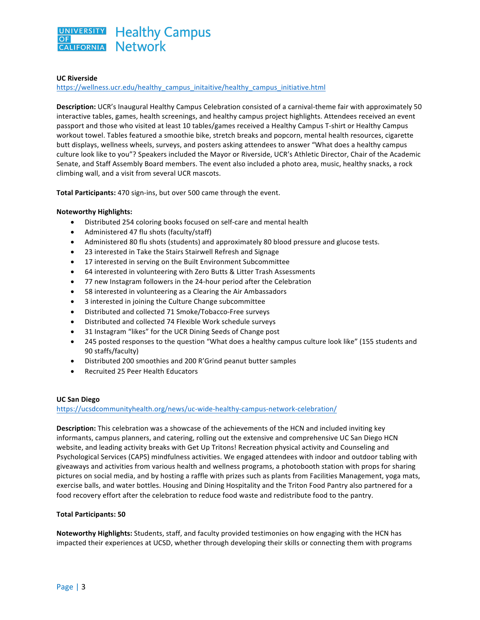

### **UC Riverside**

https://wellness.ucr.edu/healthy\_campus\_initaitive/healthy\_campus\_initiative.html

**Description:** UCR's Inaugural Healthy Campus Celebration consisted of a carnival-theme fair with approximately 50 interactive tables, games, health screenings, and healthy campus project highlights. Attendees received an event passport and those who visited at least 10 tables/games received a Healthy Campus T-shirt or Healthy Campus workout towel. Tables featured a smoothie bike, stretch breaks and popcorn, mental health resources, cigarette butt displays, wellness wheels, surveys, and posters asking attendees to answer "What does a healthy campus culture look like to you"? Speakers included the Mayor or Riverside, UCR's Athletic Director, Chair of the Academic Senate, and Staff Assembly Board members. The event also included a photo area, music, healthy snacks, a rock climbing wall, and a visit from several UCR mascots.

Total Participants: 470 sign-ins, but over 500 came through the event.

#### **Noteworthy Highlights:**

- Distributed 254 coloring books focused on self-care and mental health
- Administered 47 flu shots (faculty/staff)
- Administered 80 flu shots (students) and approximately 80 blood pressure and glucose tests.
- 23 interested in Take the Stairs Stairwell Refresh and Signage
- 17 interested in serving on the Built Environment Subcommittee
- 64 interested in volunteering with Zero Butts & Litter Trash Assessments
- 77 new Instagram followers in the 24-hour period after the Celebration
- 58 interested in volunteering as a Clearing the Air Ambassadors
- 3 interested in joining the Culture Change subcommittee
- Distributed and collected 71 Smoke/Tobacco-Free surveys
- Distributed and collected 74 Flexible Work schedule surveys
- 31 Instagram "likes" for the UCR Dining Seeds of Change post
- 245 posted responses to the question "What does a healthy campus culture look like" (155 students and 90 staffs/faculty)
- Distributed 200 smoothies and 200 R'Grind peanut butter samples
- Recruited 25 Peer Health Educators

#### **UC San Diego**

https://ucsdcommunityhealth.org/news/uc-wide-healthy-campus-network-celebration/

**Description:** This celebration was a showcase of the achievements of the HCN and included inviting key informants, campus planners, and catering, rolling out the extensive and comprehensive UC San Diego HCN website, and leading activity breaks with Get Up Tritons! Recreation physical activity and Counseling and Psychological Services (CAPS) mindfulness activities. We engaged attendees with indoor and outdoor tabling with giveaways and activities from various health and wellness programs, a photobooth station with props for sharing pictures on social media, and by hosting a raffle with prizes such as plants from Facilities Management, yoga mats, exercise balls, and water bottles. Housing and Dining Hospitality and the Triton Food Pantry also partnered for a food recovery effort after the celebration to reduce food waste and redistribute food to the pantry.

#### **Total Participants: 50**

Noteworthy Highlights: Students, staff, and faculty provided testimonies on how engaging with the HCN has impacted their experiences at UCSD, whether through developing their skills or connecting them with programs